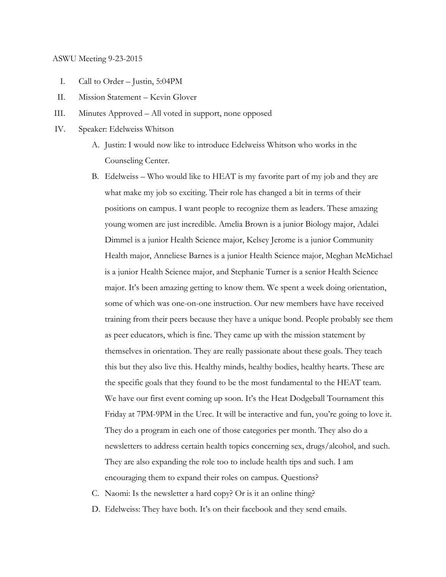#### ASWU Meeting 9-23-2015

- I. Call to Order Justin, 5:04PM
- II. Mission Statement Kevin Glover
- III. Minutes Approved All voted in support, none opposed
- IV. Speaker: Edelweiss Whitson
	- A. Justin: I would now like to introduce Edelweiss Whitson who works in the Counseling Center.
	- B. Edelweiss Who would like to HEAT is my favorite part of my job and they are what make my job so exciting. Their role has changed a bit in terms of their positions on campus. I want people to recognize them as leaders. These amazing young women are just incredible. Amelia Brown is a junior Biology major, Adalei Dimmel is a junior Health Science major, Kelsey Jerome is a junior Community Health major, Anneliese Barnes is a junior Health Science major, Meghan McMichael is a junior Health Science major, and Stephanie Turner is a senior Health Science major. It's been amazing getting to know them. We spent a week doing orientation, some of which was one-on-one instruction. Our new members have have received training from their peers because they have a unique bond. People probably see them as peer educators, which is fine. They came up with the mission statement by themselves in orientation. They are really passionate about these goals. They teach this but they also live this. Healthy minds, healthy bodies, healthy hearts. These are the specific goals that they found to be the most fundamental to the HEAT team. We have our first event coming up soon. It's the Heat Dodgeball Tournament this Friday at 7PM-9PM in the Urec. It will be interactive and fun, you're going to love it. They do a program in each one of those categories per month. They also do a newsletters to address certain health topics concerning sex, drugs/alcohol, and such. They are also expanding the role too to include health tips and such. I am encouraging them to expand their roles on campus. Questions?
	- C. Naomi: Is the newsletter a hard copy? Or is it an online thing?
	- D. Edelweiss: They have both. It's on their facebook and they send emails.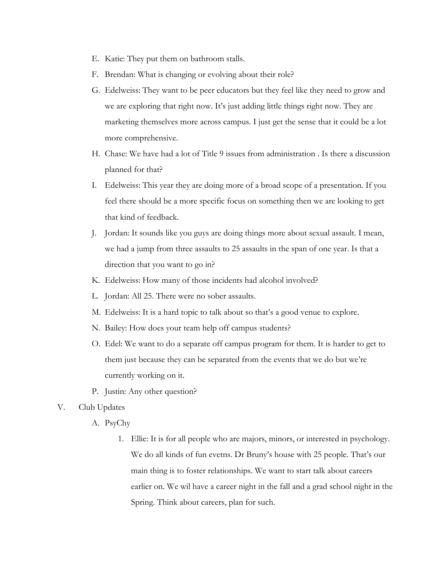- E. Katie: They put them on bathroom stalls.
- F. Brendan: What is changing or evolving about their role?
- G. Edelweiss: They want to be peer educators but they feel like they need to grow and we are exploring that right now. It's just adding little things right now. They are marketing themselves more across campus. I just get the sense that it could be a lot more comprehensive.
- H. Chase: We have had a lot of Title 9 issues from administration . Is there a discussion planned for that?
- I. Edelweiss: This year they are doing more of a broad scope of a presentation. If you feel there should be a more specific focus on something then we are looking to get that kind of feedback.
- J. Jordan: It sounds like you guys are doing things more about sexual assault. I mean, we had a jump from three assaults to 25 assaults in the span of one year. Is that a direction that you want to go in?
- K. Edelweiss: How many of those incidents had alcohol involved?
- L. Jordan: All 25. There were no sober assaults.
- M. Edelweiss: It is a hard topic to talk about so that's a good venue to explore.
- N. Bailey: How does your team help off campus students?
- O. Edel: We want to do a separate off campus program for them. It is harder to get to them just because they can be separated from the events that we do but we're currently working on it.
- P. Justin: Any other question?
- V. Club Updates
	- A. PsyChy
		- 1. Ellie: It is for all people who are majors, minors, or interested in psychology. We do all kinds of fun evetns. Dr Bruny's house with 25 people. That's our main thing is to foster relationships. We want to start talk about careers earlier on. We wil have a career night in the fall and a grad school night in the Spring. Think about careers, plan for such.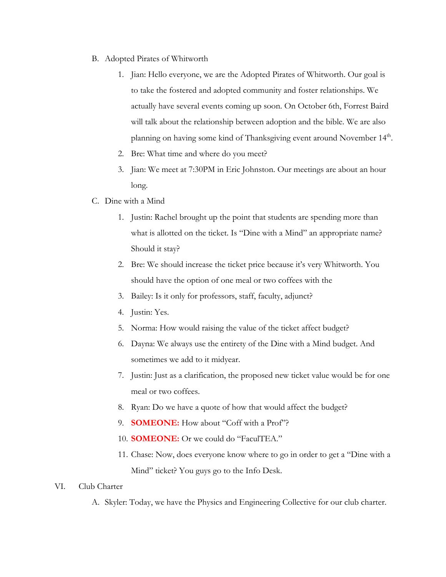- B. Adopted Pirates of Whitworth
	- 1. Jian: Hello everyone, we are the Adopted Pirates of Whitworth. Our goal is to take the fostered and adopted community and foster relationships. We actually have several events coming up soon. On October 6th, Forrest Baird will talk about the relationship between adoption and the bible. We are also planning on having some kind of Thanksgiving event around November 14<sup>th</sup>.
	- 2. Bre: What time and where do you meet?
	- 3. Jian: We meet at 7:30PM in Eric Johnston. Our meetings are about an hour long.
- C. Dine with a Mind
	- 1. Justin: Rachel brought up the point that students are spending more than what is allotted on the ticket. Is "Dine with a Mind" an appropriate name? Should it stay?
	- 2. Bre: We should increase the ticket price because it's very Whitworth. You should have the option of one meal or two coffees with the
	- 3. Bailey: Is it only for professors, staff, faculty, adjunct?
	- 4. Justin: Yes.
	- 5. Norma: How would raising the value of the ticket affect budget?
	- 6. Dayna: We always use the entirety of the Dine with a Mind budget. And sometimes we add to it midyear.
	- 7. Justin: Just as a clarification, the proposed new ticket value would be for one meal or two coffees.
	- 8. Ryan: Do we have a quote of how that would affect the budget?
	- 9. **SOMEONE:**How about "Coff with a Prof"?
	- 10. **SOMEONE:**Or we could do "FaculTEA."
	- 11. Chase: Now, does everyone know where to go in order to get a "Dine with a Mind" ticket? You guys go to the Info Desk.

## VI. Club Charter

A. Skyler: Today, we have the Physics and Engineering Collective for our club charter.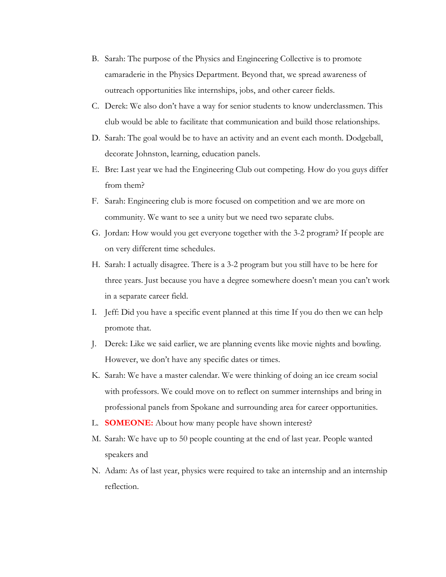- B. Sarah: The purpose of the Physics and Engineering Collective is to promote camaraderie in the Physics Department. Beyond that, we spread awareness of outreach opportunities like internships, jobs, and other career fields.
- C. Derek: We also don't have a way for senior students to know underclassmen. This club would be able to facilitate that communication and build those relationships.
- D. Sarah: The goal would be to have an activity and an event each month. Dodgeball, decorate Johnston, learning, education panels.
- E. Bre: Last year we had the Engineering Club out competing. How do you guys differ from them?
- F. Sarah: Engineering club is more focused on competition and we are more on community. We want to see a unity but we need two separate clubs.
- G. Jordan: How would you get everyone together with the 3-2 program? If people are on very different time schedules.
- H. Sarah: I actually disagree. There is a 3-2 program but you still have to be here for three years. Just because you have a degree somewhere doesn't mean you can't work in a separate career field.
- I. Jeff: Did you have a specific event planned at this time If you do then we can help promote that.
- J. Derek: Like we said earlier, we are planning events like movie nights and bowling. However, we don't have any specific dates or times.
- K. Sarah: We have a master calendar. We were thinking of doing an ice cream social with professors. We could move on to reflect on summer internships and bring in professional panels from Spokane and surrounding area for career opportunities.
- L. **SOMEONE:**About how many people have shown interest?
- M. Sarah: We have up to 50 people counting at the end of last year. People wanted speakers and
- N. Adam: As of last year, physics were required to take an internship and an internship reflection.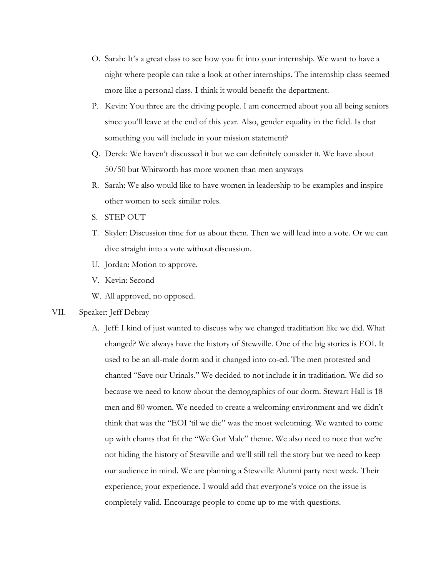- O. Sarah: It's a great class to see how you fit into your internship. We want to have a night where people can take a look at other internships. The internship class seemed more like a personal class. I think it would benefit the department.
- P. Kevin: You three are the driving people. I am concerned about you all being seniors since you'll leave at the end of this year. Also, gender equality in the field. Is that something you will include in your mission statement?
- Q. Derek: We haven't discussed it but we can definitely consider it. We have about 50/50 but Whitworth has more women than men anyways
- R. Sarah: We also would like to have women in leadership to be examples and inspire other women to seek similar roles.
- S. STEP OUT
- T. Skyler: Discussion time for us about them. Then we will lead into a vote. Or we can dive straight into a vote without discussion.
- U. Jordan: Motion to approve.
- V. Kevin: Second
- W. All approved, no opposed.

# VII. Speaker: Jeff Debray

A. Jeff: I kind of just wanted to discuss why we changed traditiation like we did. What changed? We always have the history of Stewville. One of the big stories is EOI. It used to be an all-male dorm and it changed into co-ed. The men protested and chanted "Save our Urinals." We decided to not include it in traditiation. We did so because we need to know about the demographics of our dorm. Stewart Hall is 18 men and 80 women. We needed to create a welcoming environment and we didn't think that was the "EOI 'til we die" was the most welcoming. We wanted to come up with chants that fit the "We Got Malc" theme. We also need to note that we're not hiding the history of Stewville and we'll still tell the story but we need to keep our audience in mind. We are planning a Stewville Alumni party next week. Their experience, your experience. I would add that everyone's voice on the issue is completely valid. Encourage people to come up to me with questions.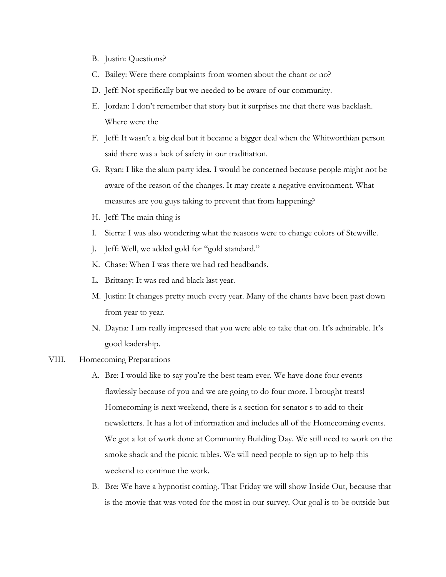- B. Justin: Questions?
- C. Bailey: Were there complaints from women about the chant or no?
- D. Jeff: Not specifically but we needed to be aware of our community.
- E. Jordan: I don't remember that story but it surprises me that there was backlash. Where were the
- F. Jeff: It wasn't a big deal but it became a bigger deal when the Whitworthian person said there was a lack of safety in our traditiation.
- G. Ryan: I like the alum party idea. I would be concerned because people might not be aware of the reason of the changes. It may create a negative environment. What measures are you guys taking to prevent that from happening?
- H. Jeff: The main thing is
- I. Sierra: I was also wondering what the reasons were to change colors of Stewville.
- J. Jeff: Well, we added gold for "gold standard."
- K. Chase: When I was there we had red headbands.
- L. Brittany: It was red and black last year.
- M. Justin: It changes pretty much every year. Many of the chants have been past down from year to year.
- N. Dayna: I am really impressed that you were able to take that on. It's admirable. It's good leadership.

### VIII. Homecoming Preparations

- A. Bre: I would like to say you're the best team ever. We have done four events flawlessly because of you and we are going to do four more. I brought treats! Homecoming is next weekend, there is a section for senator s to add to their newsletters. It has a lot of information and includes all of the Homecoming events. We got a lot of work done at Community Building Day. We still need to work on the smoke shack and the picnic tables. We will need people to sign up to help this weekend to continue the work.
- B. Bre: We have a hypnotist coming. That Friday we will show Inside Out, because that is the movie that was voted for the most in our survey. Our goal is to be outside but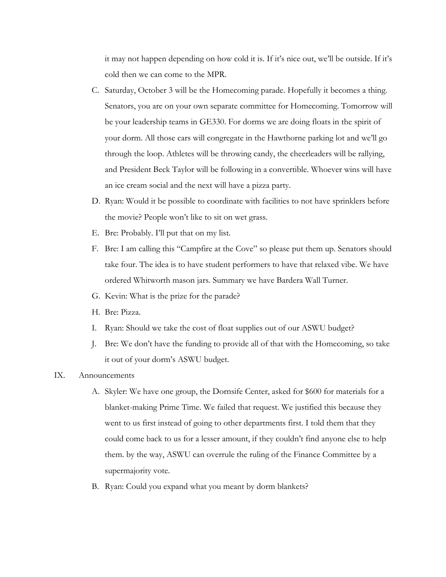it may not happen depending on how cold it is. If it's nice out, we'll be outside. If it's cold then we can come to the MPR.

- C. Saturday, October 3 will be the Homecoming parade. Hopefully it becomes a thing. Senators, you are on your own separate committee for Homecoming. Tomorrow will be your leadership teams in GE330. For dorms we are doing floats in the spirit of your dorm. All those cars will congregate in the Hawthorne parking lot and we'll go through the loop. Athletes will be throwing candy, the cheerleaders will be rallying, and President Beck Taylor will be following in a convertible. Whoever wins will have an ice cream social and the next will have a pizza party.
- D. Ryan: Would it be possible to coordinate with facilities to not have sprinklers before the movie? People won't like to sit on wet grass.
- E. Bre: Probably. I'll put that on my list.
- F. Bre: I am calling this "Campfire at the Cove" so please put them up. Senators should take four. The idea is to have student performers to have that relaxed vibe. We have ordered Whitworth mason jars. Summary we have Bardera Wall Turner.
- G. Kevin: What is the prize for the parade?
- H. Bre: Pizza.
- I. Ryan: Should we take the cost of float supplies out of our ASWU budget?
- J. Bre: We don't have the funding to provide all of that with the Homecoming, so take it out of your dorm's ASWU budget.

## IX. Announcements

- A. Skyler: We have one group, the Dornsife Center, asked for \$600 for materials for a blanket-making Prime Time. We failed that request. We justified this because they went to us first instead of going to other departments first. I told them that they could come back to us for a lesser amount, if they couldn't find anyone else to help them. by the way, ASWU can overrule the ruling of the Finance Committee by a supermajority vote.
- B. Ryan: Could you expand what you meant by dorm blankets?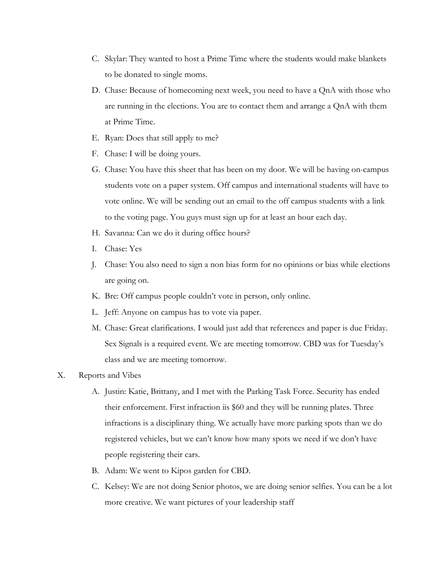- C. Skylar: They wanted to host a Prime Time where the students would make blankets to be donated to single moms.
- D. Chase: Because of homecoming next week, you need to have a QnA with those who are running in the elections. You are to contact them and arrange a QnA with them at Prime Time.
- E. Ryan: Does that still apply to me?
- F. Chase: I will be doing yours.
- G. Chase: You have this sheet that has been on my door. We will be having on-campus students vote on a paper system. Off campus and international students will have to vote online. We will be sending out an email to the off campus students with a link to the voting page. You guys must sign up for at least an hour each day.
- H. Savanna: Can we do it during office hours?
- I. Chase: Yes
- J. Chase: You also need to sign a non bias form for no opinions or bias while elections are going on.
- K. Bre: Off campus people couldn't vote in person, only online.
- L. Jeff: Anyone on campus has to vote via paper.
- M. Chase: Great clarifications. I would just add that references and paper is due Friday. Sex Signals is a required event. We are meeting tomorrow. CBD was for Tuesday's class and we are meeting tomorrow.
- X. Reports and Vibes
	- A. Justin: Katie, Brittany, and I met with the Parking Task Force. Security has ended their enforcement. First infraction iis \$60 and they will be running plates. Three infractions is a disciplinary thing. We actually have more parking spots than we do registered vehicles, but we can't know how many spots we need if we don't have people registering their cars.
	- B. Adam: We went to Kipos garden for CBD.
	- C. Kelsey: We are not doing Senior photos, we are doing senior selfies. You can be a lot more creative. We want pictures of your leadership staff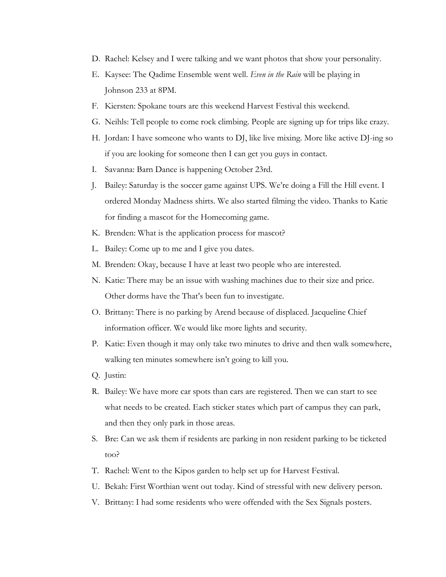- D. Rachel: Kelsey and I were talking and we want photos that show your personality.
- E. Kaysee: The Qadime Ensemble went well. *Even in the Rain* will be playing in Johnson 233 at 8PM.
- F. Kiersten: Spokane tours are this weekend Harvest Festival this weekend.
- G. Neihls: Tell people to come rock climbing. People are signing up for trips like crazy.
- H. Jordan: I have someone who wants to DJ, like live mixing. More like active DJ-ing so if you are looking for someone then I can get you guys in contact.
- I. Savanna: Barn Dance is happening October 23rd.
- J. Bailey: Saturday is the soccer game against UPS. We're doing a Fill the Hill event. I ordered Monday Madness shirts. We also started filming the video. Thanks to Katie for finding a mascot for the Homecoming game.
- K. Brenden: What is the application process for mascot?
- L. Bailey: Come up to me and I give you dates.
- M. Brenden: Okay, because I have at least two people who are interested.
- N. Katie: There may be an issue with washing machines due to their size and price. Other dorms have the That's been fun to investigate.
- O. Brittany: There is no parking by Arend because of displaced. Jacqueline Chief information officer. We would like more lights and security.
- P. Katie: Even though it may only take two minutes to drive and then walk somewhere, walking ten minutes somewhere isn't going to kill you.
- Q. Justin:
- R. Bailey: We have more car spots than cars are registered. Then we can start to see what needs to be created. Each sticker states which part of campus they can park, and then they only park in those areas.
- S. Bre: Can we ask them if residents are parking in non resident parking to be ticketed too?
- T. Rachel: Went to the Kipos garden to help set up for Harvest Festival.
- U. Bekah: First Worthian went out today. Kind of stressful with new delivery person.
- V. Brittany: I had some residents who were offended with the Sex Signals posters.